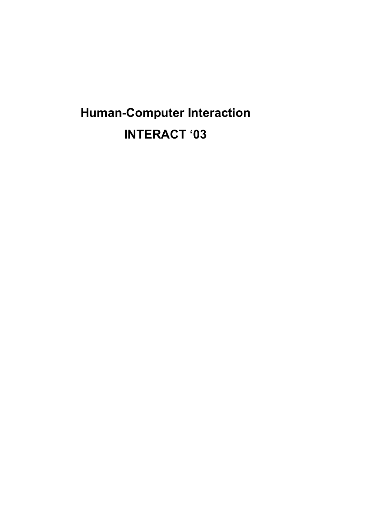# **Human-Computer Interaction INTERACT '03**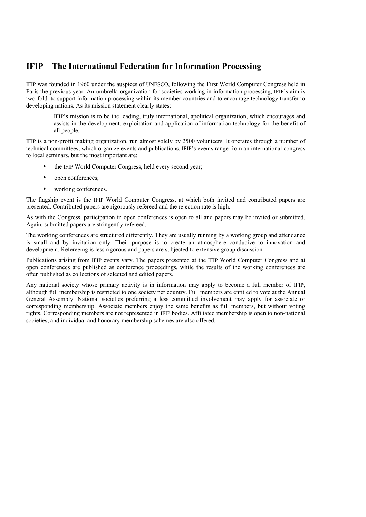## **IFIP—The International Federation for Information Processing**

IFIP was founded in 1960 under the auspices of UNESCO, following the First World Computer Congress held in Paris the previous year. An umbrella organization for societies working in information processing, IFIP's aim is two-fold: to support information processing within its member countries and to encourage technology transfer to developing nations. As its mission statement clearly states:

IFIP's mission is to be the leading, truly international, apolitical organization, which encourages and assists in the development, exploitation and application of information technology for the benefit of all people.

IFIP is a non-profit making organization, run almost solely by 2500 volunteers. It operates through a number of technical committees, which organize events and publications. IFIP's events range from an international congress to local seminars, but the most important are:

- the IFIP World Computer Congress, held every second year;
- open conferences;
- working conferences.

The flagship event is the IFIP World Computer Congress, at which both invited and contributed papers are presented. Contributed papers are rigorously refereed and the rejection rate is high.

As with the Congress, participation in open conferences is open to all and papers may be invited or submitted. Again, submitted papers are stringently refereed.

The working conferences are structured differently. They are usually running by a working group and attendance is small and by invitation only. Their purpose is to create an atmosphere conducive to innovation and development. Refereeing is less rigorous and papers are subjected to extensive group discussion.

Publications arising from IFIP events vary. The papers presented at the IFIP World Computer Congress and at open conferences are published as conference proceedings, while the results of the working conferences are often published as collections of selected and edited papers.

Any national society whose primary activity is in information may apply to become a full member of IFIP, although full membership is restricted to one society per country. Full members are entitled to vote at the Annual General Assembly. National societies preferring a less committed involvement may apply for associate or corresponding membership. Associate members enjoy the same benefits as full members, but without voting rights. Corresponding members are not represented in IFIP bodies. Affiliated membership is open to non-national societies, and individual and honorary membership schemes are also offered.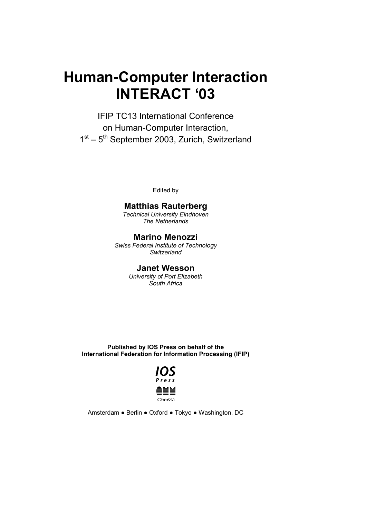## **Human-Computer Interaction INTERACT '03**

IFIP TC13 International Conference on Human-Computer Interaction,  $1<sup>st</sup> - 5<sup>th</sup>$  September 2003, Zurich, Switzerland

Edited by

## **Matthias Rauterberg**

*Technical University Eindhoven The Netherlands* 

**Marino Menozzi** 

*Swiss Federal Institute of Technology Switzerland* 

## **Janet Wesson**

*University of Port Elizabeth South Africa* 

**Published by IOS Press on behalf of the International Federation for Information Processing (IFIP)** 



Amsterdam ● Berlin ● Oxford ● Tokyo ● Washington, DC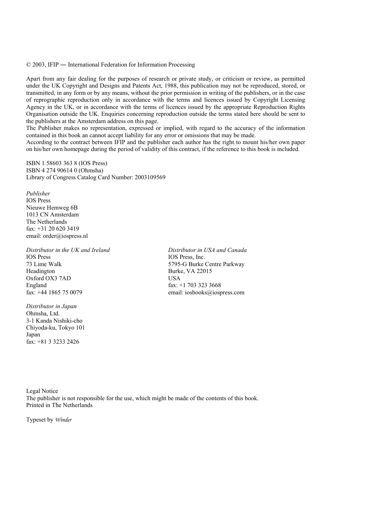© 2003, IFIP ― International Federation for Information Processing

Apart from any fair dealing for the purposes of research or private study, or criticism or review, as permitted under the UK Copyright and Designs and Patents Act, 1988, this publication may not be reproduced, stored, or transmitted, in any form or by any means, without the prior permission in writing of the publishers, or in the case of reprographic reproduction only in accordance with the terms and licences issued by Copyright Licensing Agency in the UK, or in accordance with the terms of licences issued by the appropriate Reproduction Rights Organisation outside the UK. Enquiries concerning reproduction outside the terms stated here should be sent to the publishers at the Amsterdam address on this page.

The Publisher makes no representation, expressed or implied, with regard to the accuracy of the information contained in this book an cannot accept liability for any error or omissions that may be made.

According to the contract between IFIP and the publisher each author has the right to mount his/her own paper on his/her own homepage during the period of validity of this contract, if the reference to this book is included.

ISBN 1 58603 363 8 (IOS Press) ISBN 4 274 90614 0 (Ohmsha) Library of Congress Catalog Card Number: 2003109569

*Publisher*  IOS Press Nieuwe Hemweg 6B 1013 CN Amsterdam The Netherlands fax: +31 20 620 3419 email: order@iospress.nl

*Distributor in the UK and Ireland*  IOS Press 73 Lime Walk Headington Oxford OX3 7AD England fax: +44 1865 75 0079

*Distributor in Japan*  Ohmsha, Ltd. 3-1 Kanda Nishiki-cho Chiyoda-ku, Tokyo 101 Japan fax: +81 3 3233 2426

*Distributor in USA and Canada*  IOS Press, Inc. 5795-G Burke Centre Parkway Burke, VA 22015 **USA** fax: +1 703 323 3668 email: iosbooks@iospress.com

Legal Notice The publisher is not responsible for the use, which might be made of the contents of this book. Printed in The Netherlands

Typeset by *Winder*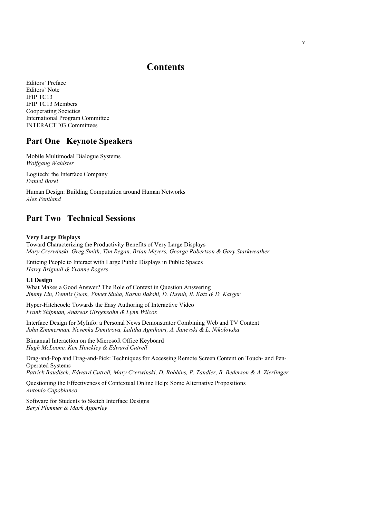## **Contents**

Editors' Preface Editors' Note IFIP TC13 IFIP TC13 Members Cooperating Societies International Program Committee INTERACT '03 Committees

## **Part One Keynote Speakers**

Mobile Multimodal Dialogue Systems *Wolfgang Wahlster* 

Logitech: the Interface Company *Daniel Borel* 

Human Design: Building Computation around Human Networks *Alex Pentland* 

## **Part Two Technical Sessions**

### **Very Large Displays**

Toward Characterizing the Productivity Benefits of Very Large Displays *Mary Czerwinski, Greg Smith, Tim Regan, Brian Meyers, George Robertson & Gary Starkweather* 

Enticing People to Interact with Large Public Displays in Public Spaces *Harry Brignull & Yvonne Rogers* 

### **UI Design**

What Makes a Good Answer? The Role of Context in Question Answering *Jimmy Lin, Dennis Quan, Vineet Sinha, Karun Bakshi, D. Huynh, B. Katz & D. Karger* 

Hyper-Hitchcock: Towards the Easy Authoring of Interactive Video *Frank Shipman, Andreas Girgensohn & Lynn Wilcox* 

Interface Design for MyInfo: a Personal News Demonstrator Combining Web and TV Content *John Zimmerman, Nevenka Dimitrova, Lalitha Agnihotri, A. Janevski & L. Nikolovska* 

Bimanual Interaction on the Microsoft Office Keyboard *Hugh McLoone, Ken Hinckley & Edward Cutrell* 

Drag-and-Pop and Drag-and-Pick: Techniques for Accessing Remote Screen Content on Touch- and Pen-Operated Systems

*Patrick Baudisch, Edward Cutrell, Mary Czerwinski, D. Robbins, P. Tandler, B. Bederson & A. Zierlinger* 

Questioning the Effectiveness of Contextual Online Help: Some Alternative Propositions *Antonio Capobianco* 

Software for Students to Sketch Interface Designs *Beryl Plimmer & Mark Apperley*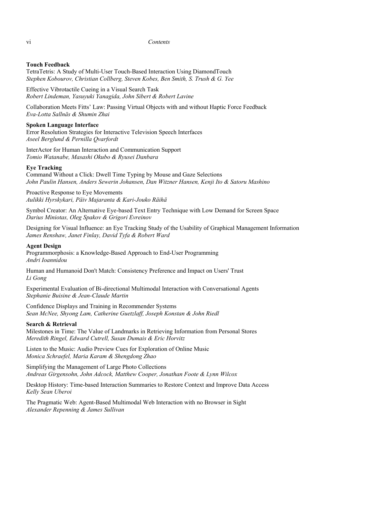vi *Contents*

## **Touch Feedback**

TetraTetris: A Study of Multi-User Touch-Based Interaction Using DiamondTouch *Stephen Kobourov, Christian Collberg, Steven Kobes, Ben Smith, S. Trush & G. Yee* 

Effective Vibrotactile Cueing in a Visual Search Task *Robert Lindeman, Yasuyuki Yanagida, John Sibert & Robert Lavine* 

Collaboration Meets Fitts' Law: Passing Virtual Objects with and without Haptic Force Feedback *Eva-Lotta Sallnäs & Shumin Zhai*

## **Spoken Language Interface**

Error Resolution Strategies for Interactive Television Speech Interfaces *Aseel Berglund & Pernilla Qvarfordt* 

InterActor for Human Interaction and Communication Support *Tomio Watanabe, Masashi Okubo & Ryusei Danbara* 

## **Eye Tracking**

Command Without a Click: Dwell Time Typing by Mouse and Gaze Selections *John Paulin Hansen, Anders Sewerin Johansen, Dan Witzner Hansen, Kenji Ito & Satoru Mashino* 

Proactive Response to Eye Movements *Aulikki Hyrskykari, Päiv Majaranta & Kari-Jouko Räihä* 

Symbol Creator: An Alternative Eye-based Text Entry Technique with Low Demand for Screen Space *Darius Miniotas, Oleg Spakov & Grigori Evreinov* 

Designing for Visual Influence: an Eye Tracking Study of the Usability of Graphical Management Information *James Renshaw, Janet Finlay, David Tyfa & Robert Ward* 

## **Agent Design**

Programmorphosis: a Knowledge-Based Approach to End-User Programming *Andri Ioannidou* 

Human and Humanoid Don't Match: Consistency Preference and Impact on Users' Trust *Li Gong* 

Experimental Evaluation of Bi-directional Multimodal Interaction with Conversational Agents *Stephanie Buisine & Jean-Claude Martin* 

Confidence Displays and Training in Recommender Systems *Sean McNee, Shyong Lam, Catherine Guetzlaff, Joseph Konstan & John Riedl* 

## **Search & Retrieval**

Milestones in Time: The Value of Landmarks in Retrieving Information from Personal Stores *Meredith Ringel, Edward Cutrell, Susan Dumais & Eric Horvitz* 

Listen to the Music: Audio Preview Cues for Exploration of Online Music *Monica Schraefel, Maria Karam & Shengdong Zhao* 

Simplifying the Management of Large Photo Collections *Andreas Girgensohn, John Adcock, Matthew Cooper, Jonathan Foote & Lynn Wilcox* 

Desktop History: Time-based Interaction Summaries to Restore Context and Improve Data Access *Kelly Sean Uberoi* 

The Pragmatic Web: Agent-Based Multimodal Web Interaction with no Browser in Sight *Alexander Repenning & James Sullivan*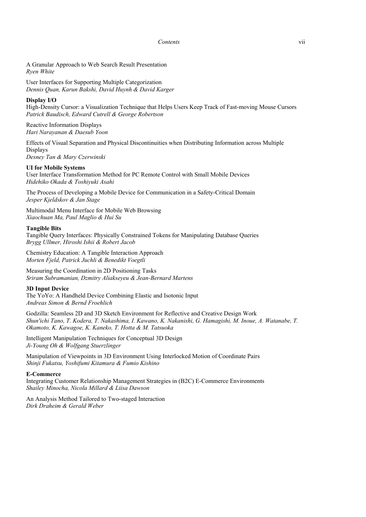A Granular Approach to Web Search Result Presentation *Ryen White* 

User Interfaces for Supporting Multiple Categorization *Dennis Quan, Karun Bakshi, David Huynh & David Karger* 

## **Display I/O**

High-Density Cursor: a Visualization Technique that Helps Users Keep Track of Fast-moving Mouse Cursors *Patrick Baudisch, Edward Cutrell & George Robertson* 

Reactive Information Displays *Hari Narayanan & Daesub Yoon* 

Effects of Visual Separation and Physical Discontinuities when Distributing Information across Multiple Displays *Desney Tan & Mary Czerwinski* 

## **UI for Mobile Systems**

User Interface Transformation Method for PC Remote Control with Small Mobile Devices *Hidehiko Okada & Toshiyuki Asahi* 

The Process of Developing a Mobile Device for Communication in a Safety-Critical Domain *Jesper Kjeldskov & Jan Stage* 

Multimodal Menu Interface for Mobile Web Browsing *Xiaochuan Ma, Paul Maglio & Hui Su* 

## **Tangible Bits**

Tangible Query Interfaces: Physically Constrained Tokens for Manipulating Database Queries *Brygg Ullmer, Hiroshi Ishii & Robert Jacob* 

Chemistry Education: A Tangible Interaction Approach *Morten Fjeld, Patrick Juchli & Benedikt Voegtli* 

Measuring the Coordination in 2D Positioning Tasks *Sriram Subramanian, Dzmitry Aliakseyeu & Jean-Bernard Martens* 

## **3D Input Device**

The YoYo: A Handheld Device Combining Elastic and Isotonic Input *Andreas Simon & Bernd Froehlich* 

Godzilla: Seamless 2D and 3D Sketch Environment for Reflective and Creative Design Work *Shun'ichi Tano, T. Kodera, T. Nakashima, I. Kawano, K. Nakanishi, G. Hamagishi, M. Inoue, A. Watanabe, T. Okamoto, K. Kawagoe, K. Kaneko, T. Hotta & M. Tatsuoka* 

Intelligent Manipulation Techniques for Conceptual 3D Design *Ji-Young Oh & Wolfgang Stuerzlinger* 

Manipulation of Viewpoints in 3D Environment Using Interlocked Motion of Coordinate Pairs *Shinji Fukatsu, Yoshifumi Kitamura & Fumio Kishino* 

### **E-Commerce**

Integrating Customer Relationship Management Strategies in (B2C) E-Commerce Environments *Shailey Minocha, Nicola Millard & Liisa Dawson* 

An Analysis Method Tailored to Two-staged Interaction *Dirk Draheim & Gerald Weber*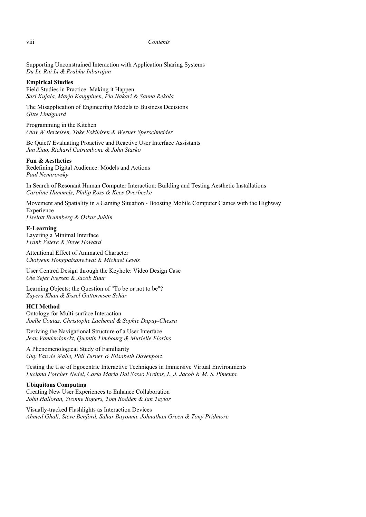#### viii *Contents*

Supporting Unconstrained Interaction with Application Sharing Systems *Du Li, Rui Li & Prabhu Inbarajan* 

### **Empirical Studies**

Field Studies in Practice: Making it Happen *Sari Kujala, Marjo Kauppinen, Pia Nakari & Sanna Rekola* 

The Misapplication of Engineering Models to Business Decisions *Gitte Lindgaard* 

Programming in the Kitchen *Olav W Bertelsen, Toke Eskildsen & Werner Sperschneider* 

Be Quiet? Evaluating Proactive and Reactive User Interface Assistants *Jun Xiao, Richard Catrambone & John Stasko* 

## **Fun & Aesthetics**

Redefining Digital Audience: Models and Actions *Paul Nemirovsky* 

In Search of Resonant Human Computer Interaction: Building and Testing Aesthetic Installations *Caroline Hummels, Philip Ross & Kees Overbeeke* 

Movement and Spatiality in a Gaming Situation - Boosting Mobile Computer Games with the Highway Experience

*Liselott Brunnberg & Oskar Juhlin* 

**E-Learning**  Layering a Minimal Interface *Frank Vetere & Steve Howard* 

Attentional Effect of Animated Character *Cholyeun Hongpaisanwiwat & Michael Lewis* 

User Centred Design through the Keyhole: Video Design Case *Ole Sejer Iversen & Jacob Buur* 

Learning Objects: the Question of "To be or not to be"? *Zayera Khan & Sissel Guttormsen Schär* 

#### **HCI Method**

Ontology for Multi-surface Interaction *Joelle Coutaz, Christophe Lachenal & Sophie Dupuy-Chessa* 

Deriving the Navigational Structure of a User Interface *Jean Vanderdonckt, Quentin Limbourg & Murielle Florins* 

A Phenomenological Study of Familiarity *Guy Van de Walle, Phil Turner & Elisabeth Davenport* 

Testing the Use of Egocentric Interactive Techniques in Immersive Virtual Environments *Luciana Porcher Nedel, Carla Maria Dal Sasso Freitas, L. J. Jacob & M. S. Pimenta* 

### **Ubiquitous Computing**

Creating New User Experiences to Enhance Collaboration *John Halloran, Yvonne Rogers, Tom Rodden & Ian Taylor* 

Visually-tracked Flashlights as Interaction Devices *Ahmed Ghali, Steve Benford, Sahar Bayoumi, Johnathan Green & Tony Pridmore*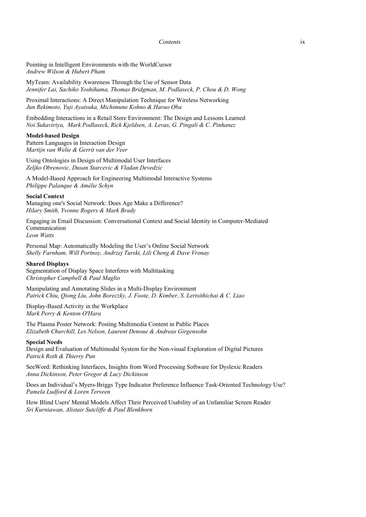#### *Contents* ix

Pointing in Intelligent Environments with the WorldCursor *Andrew Wilson & Hubert Pham* 

MyTeam: Availability Awareness Through the Use of Sensor Data *Jennifer Lai, Sachiko Yoshihama, Thomas Bridgman, M. Podlaseck, P. Chou & D. Wong* 

Proximal Interactions: A Direct Manipulation Technique for Wireless Networking *Jun Rekimoto, Yuji Ayatsuka, Michimune Kohno & Haruo Oba* 

Embedding Interactions in a Retail Store Environment: The Design and Lessons Learned *Noi Sukaviriya, Mark Podlaseck, Rick Kjeldsen, A. Levas, G. Pingali & C. Pinhanez* 

#### **Model-based Design**

Pattern Languages in Interaction Design *Martijn van Welie & Gerrit van der Veer* 

Using Ontologies in Design of Multimodal User Interfaces *Zeljko Obrenovic, Dusan Starcevic & Vladan Devedzic* 

A Model-Based Approach for Engineering Multimodal Interactive Systems *Philippe Palanque & Amélie Schyn* 

## **Social Context**

Managing one's Social Network: Does Age Make a Difference? *Hilary Smith, Yvonne Rogers & Mark Brady* 

Engaging in Email Discussion: Conversational Context and Social Identity in Computer-Mediated Communication *Leon Watts* 

Personal Map: Automatically Modeling the User's Online Social Network *Shelly Farnham, Will Portnoy, Andrzej Turski, Lili Cheng & Dave Vronay* 

#### **Shared Displays**

Segmentation of Display Space Interferes with Multitasking *Christopher Campbell & Paul Maglio* 

Manipulating and Annotating Slides in a Multi-Display Environment *Patrick Chiu, Qiong Liu, John Boreczky, J. Foote, D. Kimber, S. Lertsithichai & C. Liao* 

Display-Based Activity in the Workplace *Mark Perry & Kenton O'Hara* 

The Plasma Poster Network: Posting Multimedia Content in Public Places *Elizabeth Churchill, Les Nelson, Laurent Denoue & Andreas Girgensohn* 

#### **Special Needs**

Design and Evaluation of Multimodal System for the Non-visual Exploration of Digital Pictures *Patrick Roth & Thierry Pun* 

SeeWord: Rethinking Interfaces, Insights from Word Processing Software for Dyslexic Readers *Anna Dickinson, Peter Gregor & Lucy Dickinson* 

Does an Individual's Myers-Briggs Type Indicator Preference Influence Task-Oriented Technology Use? *Pamela Ludford & Loren Terveen* 

How Blind Users' Mental Models Affect Their Perceived Usability of an Unfamiliar Screen Reader *Sri Kurniawan, Alistair Sutcliffe & Paul Blenkhorn*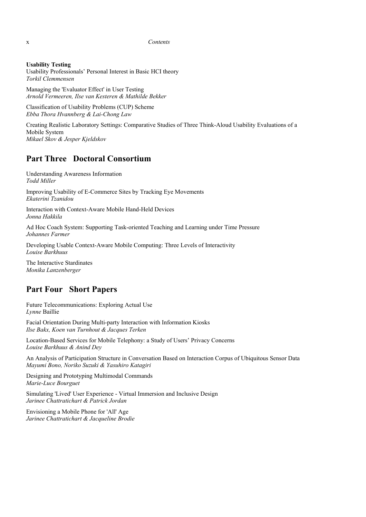x *Contents*

**Usability Testing**  Usability Professionals' Personal Interest in Basic HCI theory

*Torkil Clemmensen*  Managing the 'Evaluator Effect' in User Testing

*Arnold Vermeeren, Ilse van Kesteren & Mathilde Bekker* 

Classification of Usability Problems (CUP) Scheme *Ebba Thora Hvannberg & Lai-Chong Law* 

Creating Realistic Laboratory Settings: Comparative Studies of Three Think-Aloud Usability Evaluations of a Mobile System *Mikael Skov & Jesper Kjeldskov* 

## **Part Three Doctoral Consortium**

Understanding Awareness Information *Todd Miller* 

Improving Usability of E-Commerce Sites by Tracking Eye Movements *Ekaterini Tzanidou* 

Interaction with Context-Aware Mobile Hand-Held Devices *Jonna Hakkila* 

Ad Hoc Coach System: Supporting Task-oriented Teaching and Learning under Time Pressure *Johannes Farmer* 

Developing Usable Context-Aware Mobile Computing: Three Levels of Interactivity *Louise Barkhuus* 

The Interactive Stardinates *Monika Lanzenberger* 

## **Part Four Short Papers**

Future Telecommunications: Exploring Actual Use *Lynne* [Baillie](mailto:baillie@ftw.at) 

Facial Orientation During Multi-party Interaction with Information Kiosks *Ilse Bakx, Koen van Turnhout & Jacques Terken* 

Location-Based Services for Mobile Telephony: a Study of Users' Privacy Concerns *Louise Barkhuus & Anind Dey* 

An Analysis of Participation Structure in Conversation Based on Interaction Corpus of Ubiquitous Sensor Data *Mayumi Bono, Noriko Suzuki & Yasuhiro Katagiri* 

Designing and Prototyping Multimodal Commands *Marie-Luce Bourguet* 

Simulating 'Lived' User Experience - Virtual Immersion and Inclusive Design *Jarinee Chattratichart & Patrick Jordan* 

Envisioning a Mobile Phone for 'All' Age *Jarinee Chattratichart & Jacqueline Brodie*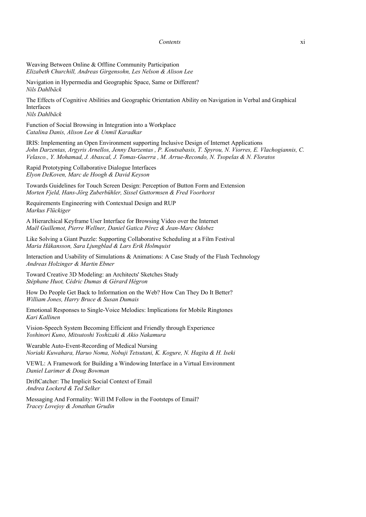Weaving Between Online & Offline Community Participation *Elizabeth Churchill, Andreas Girgensohn, Les Nelson & Alison Lee* 

Navigation in Hypermedia and Geographic Space, Same or Different? *Nils Dahlbäck* 

The Effects of Cognitive Abilities and Geographic Orientation Ability on Navigation in Verbal and Graphical Interfaces

*Nils Dahlbäck* 

Function of Social Browsing in Integration into a Workplace *Catalina Danis, Alison Lee & Unmil Karadkar* 

IRIS: Implementing an Open Environment supporting Inclusive Design of Internet Applications *John Darzentas, Argyris Arnellos, Jenny Darzentas , P. Koutsabasis, T. Spyrou, N. Viorres, E. Vlachogiannis, C. Velasco., Y. Mohamad, J. Abascal, J. Tomas-Guerra , M. Arrue-Recondo, N. Tsopelas & N. Floratos* 

Rapid Prototyping Collaborative Dialogue Interfaces *Elyon DeKoven, Marc de Hoogh & David Keyson* 

Towards Guidelines for Touch Screen Design: Perception of Button Form and Extension *Morten Fjeld, Hans-Jörg Zuberbühler, Sissel Guttormsen & Fred Voorhorst* 

Requirements Engineering with Contextual Design and RUP *Markus Flückiger* 

A Hierarchical Keyframe User Interface for Browsing Video over the Internet *Maël Guillemot, Pierre Wellner, Daniel Gatica Pérez & Jean-Marc Odobez* 

Like Solving a Giant Puzzle: Supporting Collaborative Scheduling at a Film Festival *Maria Håkansson, Sara Ljungblad & Lars Erik Holmquist* 

Interaction and Usability of Simulations & Animations: A Case Study of the Flash Technology *Andreas Holzinger & Martin Ebner* 

Toward Creative 3D Modeling: an Architects' Sketches Study *Stéphane Huot, Cédric Dumas & Gérard Hégron* 

How Do People Get Back to Information on the Web? How Can They Do It Better? *William Jones, Harry Bruce & Susan Dumais* 

Emotional Responses to Single-Voice Melodies: Implications for Mobile Ringtones *Kari Kallinen* 

Vision-Speech System Becoming Efficient and Friendly through Experience *Yoshinori Kuno, Mitsutoshi Yoshizaki & Akio Nakamura* 

Wearable Auto-Event-Recording of Medical Nursing *Noriaki Kuwahara, Haruo Noma, Nobuji Tetsutani, K. Kogure, N. Hagita & H. Iseki* 

VEWL: A Framework for Building a Windowing Interface in a Virtual Environment *Daniel Larimer & Doug Bowman* 

DriftCatcher: The Implicit Social Context of Email *Andrea Lockerd & Ted Selker* 

Messaging And Formality: Will IM Follow in the Footsteps of Email? *Tracey Lovejoy & Jonathan Grudin*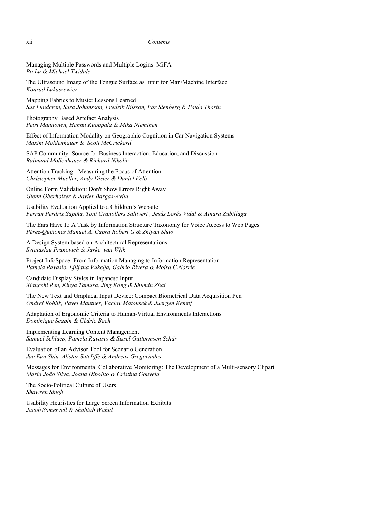#### xii *Contents*

Managing Multiple Passwords and Multiple Logins: MiFA *Bo Lu & Michael Twidale* 

The Ultrasound Image of the Tongue Surface as Input for Man/Machine Interface *Konrad Lukaszewicz* 

Mapping Fabrics to Music: Lessons Learned *Sus Lundgren, Sara Johansson, Fredrik Nilsson, Pär Stenberg & Paula Thorin* 

Photography Based Artefact Analysis *Petri Mannonen, Hannu Kuoppala & Mika Nieminen* 

Effect of Information Modality on Geographic Cognition in Car Navigation Systems *Maxim Moldenhauer & Scott McCrickard* 

SAP Community: Source for Business Interaction, Education, and Discussion *Raimund Mollenhauer & Richard Nikolic* 

Attention Tracking - Measuring the Focus of Attention *Christopher Mueller, Andy Disler & Daniel Felix* 

Online Form Validation: Don't Show Errors Right Away *Glenn Oberholzer & Javier Bargas-Avila* 

Usability Evaluation Applied to a Children's Website *Ferran Perdrix Sapiña, Toni Granollers Saltiveri , Jesús Lorés Vidal & Ainara Zubillaga* 

The Ears Have It: A Task by Information Structure Taxonomy for Voice Access to Web Pages *Pérez-Quiñones Manuel A, Capra Robert G & Zhiyan Shao* 

A Design System based on Architectural Representations *Sviataslau Pranovich & Jarke van Wijk* 

Project InfoSpace: From Information Managing to Information Representation *Pamela Ravasio, Ljiljana Vukelja, Gabrio Rivera & Moira C.Norrie* 

Candidate Display Styles in Japanese Input *Xiangshi Ren, Kinya Tamura, Jing Kong & Shumin Zhai* 

The New Text and Graphical Input Device: Compact Biometrical Data Acquisition Pen *Ondrej Rohlik, Pavel Mautner, Vaclav Matousek & Juergen Kempf* 

Adaptation of Ergonomic Criteria to Human-Virtual Environments Interactions *Dominique Scapin & Cédric Bach* 

Implementing Learning Content Management *Samuel Schluep, Pamela Ravasio & Sissel Guttormsen Schär* 

Evaluation of an Advisor Tool for Scenario Generation *Jae Eun Shin, Alistar Sutcliffe & Andreas Gregoriades* 

Messages for Environmental Collaborative Monitoring: The Development of a Multi-sensory Clipart *Maria João Silva, Joana Hipolito & Cristina Gouveia* 

The Socio-Political Culture of Users *Shawren Singh* 

Usability Heuristics for Large Screen Information Exhibits *Jacob Somervell & Shahtab Wahid*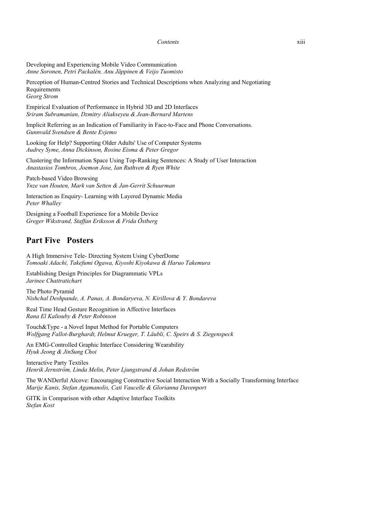Developing and Experiencing Mobile Video Communication *Anne Soronen, Petri Packalén, Anu Jäppinen & Veijo Tuomisto* 

Perception of Human-Centred Stories and Technical Descriptions when Analyzing and Negotiating Requirements *Georg Strom* 

Empirical Evaluation of Performance in Hybrid 3D and 2D Interfaces *Sriram Subramanian, Dzmitry Aliakseyeu & Jean-Bernard Martens* 

Implicit Referring as an Indication of Familiarity in Face-to-Face and Phone Conversations. *Gunnvald Svendsen & Bente Evjemo* 

Looking for Help? Supporting Older Adults' Use of Computer Systems *Audrey Syme, Anna Dickinson, Rosine Eisma & Peter Gregor* 

Clustering the Information Space Using Top-Ranking Sentences: A Study of User Interaction *Anastasios Tombros, Joemon Jose, Ian Ruthven & Ryen White* 

Patch-based Video Browsing *Ynze van Houten, Mark van Setten & Jan-Gerrit Schuurman* 

Interaction as Enquiry- Learning with Layered Dynamic Media *Peter Whalley* 

Designing a Football Experience for a Mobile Device *Greger Wikstrand, Staffan Eriksson & Frida Östberg* 

## **Part Five Posters**

A High Immersive Tele- Directing System Using CyberDome *Tomoaki Adachi, Takefumi Ogawa, Kiyoshi Kiyokawa & Haruo Takemura* 

Establishing Design Principles for Diagrammatic VPLs *Jarinee Chattratichart* 

The Photo Pyramid *Nishchal Deshpande, A. Panas, A. Bondaryeva, N. Kirillova & Y. Bondareva* 

Real Time Head Gesture Recognition in Affective Interfaces *Rana El Kaliouby & Peter Robinson* 

Touch&Type - a Novel Input Method for Portable Computers *Wolfgang Fallot-Burghardt, Helmut Krueger, T. Läubli, C. Speirs & S. Ziegenspeck* 

An EMG-Controlled Graphic Interface Considering Wearability *Hyuk Jeong & JinSung Choi* 

Interactive Party Textiles *Henrik Jernström, Linda Melin, Peter Ljungstrand & Johan Redström* 

The WANDerful Alcove: Encouraging Constructive Social Interaction With a Socially Transforming Interface *Marije Kanis, Stefan Agamanolis, Cati Vaucelle & Glorianna Davenport* 

GITK in Comparison with other Adaptive Interface Toolkits *Stefan Kost*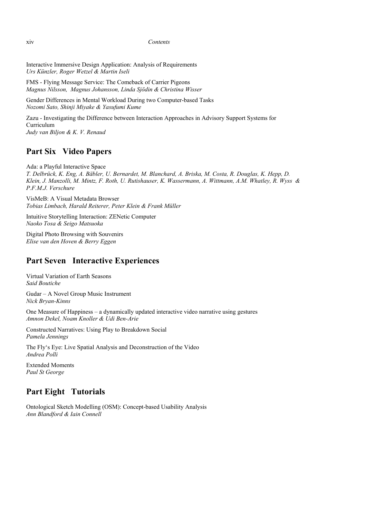xiv *Contents*

Interactive Immersive Design Application: Analysis of Requirements *Urs Künzler, Roger Wetzel & Martin Iseli* 

FMS - Flying Message Service: The Comeback of Carrier Pigeons *Magnus Nilsson, Magnus Johansson, Linda Sjödin & Christina Wisser* 

Gender Differences in Mental Workload During two Computer-based Tasks *Nozomi Sato, Shinji Miyake & Yasufumi Kume* 

Zazu - Investigating the Difference between Interaction Approaches in Advisory Support Systems for Curriculum *Judy van Biljon & K. V. Renaud* 

## **Part Six Video Papers**

Ada: a Playful Interactive Space

*T. Delbrück, K. Eng, A. Bäbler, U. Bernardet, M. Blanchard, A. Briska, M. Costa, R. Douglas, K. Hepp, D. Klein, J. Manzolli, M. Mintz, F. Roth, U. Rutishauser, K. Wassermann, A. Wittmann, A.M. Whatley, R. Wyss & P.F.M.J. Verschure* 

VisMeB: A Visual Metadata Browser *Tobias Limbach, Harald Reiterer, Peter Klein & Frank Müller* 

Intuitive Storytelling Interaction: ZENetic Computer *Naoko Tosa & Seigo Matsuoka* 

Digital Photo Browsing with Souvenirs *Elise van den Hoven & Berry Eggen* 

## **Part Seven Interactive Experiences**

Virtual Variation of Earth Seasons *Said Boutiche* 

Gudar – A Novel Group Music Instrument *Nick Bryan-Kinns* 

One Measure of Happiness – a dynamically updated interactive video narrative using gestures *Amnon Dekel, Noam Knoller & Udi Ben-Arie* 

Constructed Narratives: Using Play to Breakdown Social *Pamela Jennings* 

The Fly's Eye: Live Spatial Analysis and Deconstruction of the Video *Andrea Polli* 

Extended Moments *Paul St George* 

## **Part Eight Tutorials**

Ontological Sketch Modelling (OSM): Concept-based Usability Analysis *Ann Blandford & Iain Connell*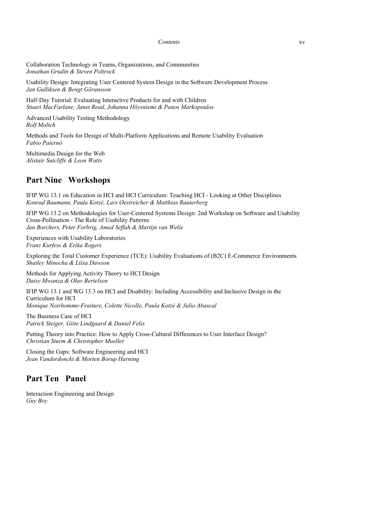#### *Contents* xv

Collaboration Technology in Teams, Organizations, and Communities *Jonathan Grudin & Steven Poltrock* 

Usability Design: Integrating User Centered System Design in the Software Development Process *Jan Gulliksen & Bengt Göransson* 

Half-Day Tutorial: Evaluating Interactive Products for and with Children *Stuart MacFarlane, Janet Read, Johanna Höysniemi & Panos Markopoulos* 

Advanced Usability Testing Methodology *Rolf Molich* 

Methods and Tools for Design of Multi-Platform Applications and Remote Usability Evaluation *Fabio Paternò* 

Multimedia Design for the Web *Alistair Sutcliffe & Leon Watts* 

## **Part Nine Workshops**

IFIP WG 13.1 on Education in HCI and HCI Curriculum: Teaching HCI - Looking at Other Disciplines *Konrad Baumann, Paula Kotzé, Lars Oestreicher & Matthias Rauterberg* 

IFIP WG 13.2 on Methodologies for User-Centered Systems Design: 2nd Workshop on Software and Usability Cross-Pollination - The Role of Usability Patterns *Jan Borchers, Peter Forbrig, Amed Seffah & Martijn van Welie* 

Experiences with Usability Laboratories *Franz Kurfess & Erika Rogers* 

Exploring the Total Customer Experience (TCE): Usability Evaluations of (B2C) E-Commerce Environments *Shailey Minocha & Liisa Dawson* 

Methods for Applying Activity Theory to HCI Design *Daisy Mwanza & Olav Bertelsen* 

IFIP WG 13.1 and WG 13.3 on HCI and Disability: Including Accessibility and Inclusive Design in the Curriculum for HCI *Monique Noirhomme-Fraiture, Colette Nicolle, Paula Kotzé & Julio Abascal* 

The Business Case of HCI *Patrick Steiger, Gitte Lindgaard & Daniel Felix* 

Putting Theory into Practice: How to Apply Cross-Cultural Differences to User Interface Design? *Christian Sturm & Christopher Mueller* 

Closing the Gaps: Software Engineering and HCI *Jean Vanderdonckt & Morten Borup Harning* 

## **Part Ten Panel**

Interaction Engineering and Design *Guy Boy*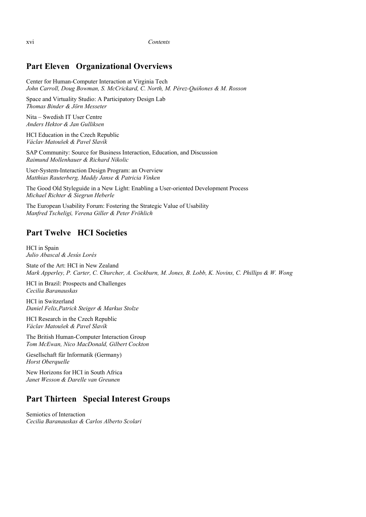## **Part Eleven Organizational Overviews**

Center for Human-Computer Interaction at Virginia Tech *John Carroll, Doug Bowman, S. McCrickard, C. North, M. Pérez-Quiñones & M. Rosson* 

Space and Virtuality Studio: A Participatory Design Lab *Thomas Binder & Jörn Messeter* 

Nita – Swedish IT User Centre *Anders Hektor & Jan Gulliksen* 

HCI Education in the Czech Republic *Václav Matoušek & Pavel Slavík* 

SAP Community: Source for Business Interaction, Education, and Discussion *Raimund Mollenhauer & Richard Nikolic* 

User-System-Interaction Design Program: an Overview *Matthias Rauterberg, Maddy Janse & Patricia Vinken* 

The Good Old Styleguide in a New Light: Enabling a User-oriented Development Process *Michael Richter & Siegrun Heberle* 

The European Usability Forum: Fostering the Strategic Value of Usability *Manfred Tscheligi, Verena Giller & Peter Fröhlich* 

## **Part Twelve HCI Societies**

HCI in Spain *Julio Abascal & Jesús Lorés* 

State of the Art: HCI in New Zealand *Mark Apperley, P. Carter, C. Churcher, A. Cockburn, M. Jones, B. Lobb, K. Novins, C. Phillips & W. Wong* 

HCI in Brazil: Prospects and Challenges *Cecilia Baranauskas* 

HCI in Switzerland *Daniel Felix,Patrick Steiger & Markus Stolze* 

HCI Research in the Czech Republic *Václav Matoušek & Pavel Slavík* 

The British Human-Computer Interaction Group *Tom McEwan, Nico MacDonald, Gilbert Cockton* 

Gesellschaft für Informatik (Germany) **Horst Oberquelle** 

New Horizons for HCI in South Africa *Janet Wesson & Darelle van Greunen* 

## **Part Thirteen Special Interest Groups**

Semiotics of Interaction *Cecilia Baranauskas & Carlos Alberto Scolari*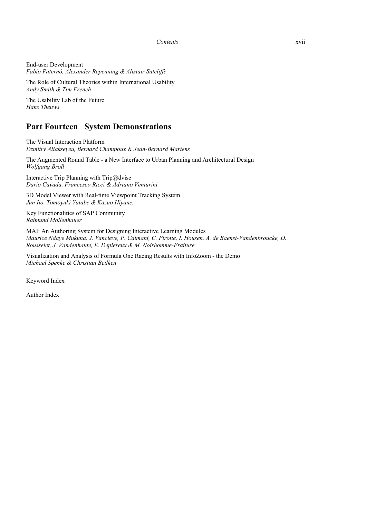End-user Development *Fabio Paternò, Alexander Repenning & Alistair Sutcliffe* 

The Role of Cultural Theories within International Usability *Andy Smith & Tim French* 

The Usability Lab of the Future *Hans Theuws* 

## **Part Fourteen System Demonstrations**

The Visual Interaction Platform *Dzmitry Aliakseyeu, Bernard Champoux & Jean-Bernard Martens* 

The Augmented Round Table - a New Interface to Urban Planning and Architectural Design *Wolfgang Broll* 

Interactive Trip Planning with Trip@dvise *Dario Cavada, Francesco Ricci & Adriano Venturini* 

3D Model Viewer with Real-time Viewpoint Tracking System *Jun Iio, Tomoyuki Yatabe & Kazuo Hiyane,* 

Key Functionalities of SAP Community *Raimund Mollenhauer* 

MAI: An Authoring System for Designing Interactive Learning Modules *Maurice Ndaye Mukuna, J. Vancleve, P. Calmant, C. Pirotte, I. Housen, A. de Baenst-Vandenbroucke, D. Rousselet, J. Vandenhaute, E. Depiereux & M. Noirhomme-Fraiture* 

Visualization and Analysis of Formula One Racing Results with InfoZoom - the Demo *Michael Spenke & Christian Beilken* 

Keyword Index

Author Index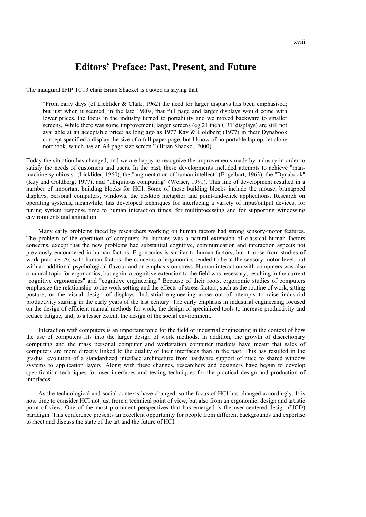## **Editors' Preface: Past, Present, and Future**

The inaugural IFIP TC13 chair Brian Shackel is quoted as saying that

"From early days (cf Licklider & Clark, 1962) the need for larger displays has been emphasised; but just when it seemed, in the late 1980s, that full page and larger displays would come with lower prices, the focus in the industry turned to portability and we moved backward to smaller screens. While there was some improvement, larger screens (eg 21 inch CRT displays) are still not available at an acceptable price; as long ago as 1977 Kay  $\&$  Goldberg (1977) in their Dynabook concept specified a display the size of a full paper page, but I know of no portable laptop, let alone notebook, which has an A4 page size screen." (Brian Shackel, 2000)

Today the situation has changed, and we are happy to recognize the improvements made by industry in order to satisfy the needs of customers and users. In the past, these developments included attempts to achieve "manmachine symbiosis" (Licklider, 1960), the "augmentation of human intellect" (Engelbart, 1963), the "Dynabook" (Kay and Goldberg, 1977), and "ubiquitous computing" (Weiser, 1991). This line of development resulted in a number of important building blocks for HCI. Some of these building blocks include the mouse, bitmapped displays, personal computers, windows, the desktop metaphor and point-and-click applications. Research on operating systems, meanwhile, has developed techniques for interfacing a variety of input/output devices, for tuning system response time to human interaction times, for multiprocessing and for supporting windowing environments and animation.

Many early problems faced by researchers working on human factors had strong sensory-motor features. The problem of the operation of computers by humans was a natural extension of classical human factors concerns, except that the new problems had substantial cognitive, communication and interaction aspects not previously encountered in human factors. Ergonomics is similar to human factors, but it arose from studies of work practice. As with human factors, the concerns of ergonomics tended to be at the sensory-motor level, but with an additional psychological flavour and an emphasis on stress. Human interaction with computers was also a natural topic for ergonomics, but again, a cognitive extension to the field was necessary, resulting in the current "cognitive ergonomics" and "cognitive engineering." Because of their roots, ergonomic studies of computers emphasize the relationship to the work setting and the effects of stress factors, such as the routine of work, sitting posture, or the visual design of displays. Industrial engineering arose out of attempts to raise industrial productivity starting in the early years of the last century. The early emphasis in industrial engineering focused on the design of efficient manual methods for work, the design of specialized tools to increase productivity and reduce fatigue, and, to a lesser extent, the design of the social environment.

Interaction with computers is an important topic for the field of industrial engineering in the context of how the use of computers fits into the larger design of work methods. In addition, the growth of discretionary computing and the mass personal computer and workstation computer markets have meant that sales of computers are more directly linked to the quality of their interfaces than in the past. This has resulted in the gradual evolution of a standardized interface architecture from hardware support of mice to shared window systems to application layers. Along with these changes, researchers and designers have begun to develop specification techniques for user interfaces and testing techniques for the practical design and production of interfaces.

As the technological and social contexts have changed, so the focus of HCI has changed accordingly. It is now time to consider HCI not just from a technical point of view, but also from an ergonomic, design and artistic point of view. One of the most prominent perspectives that has emerged is the user-centered design (UCD) paradigm. This conference presents an excellent opportunity for people from different backgrounds and expertise to meet and discuss the state of the art and the future of HCI.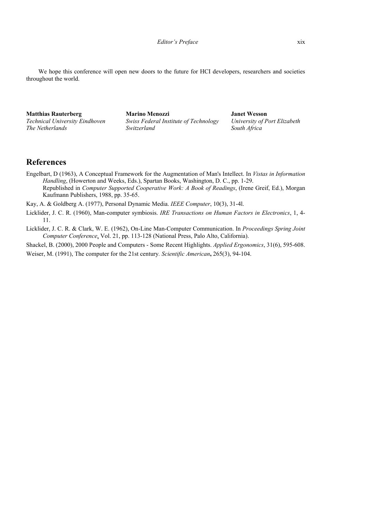We hope this conference will open new doors to the future for HCI developers, researchers and societies throughout the world.

**Matthias Rauterberg Marino Menozzi Janet Wesson**  *Technical University Eindhoven Swiss Federal Institute of Technology University of Port Elizabeth The Netherlands Switzerland South Africa* 

## **References**

Engelbart, D (1963), A Conceptual Framework for the Augmentation of Man's Intellect. In *Vistas in Information Handling*, (Howerton and Weeks, Eds.), Spartan Books, Washington, D. C., pp. 1-29. Republished in *Computer Supported Cooperative Work: A Book of Readings*, (Irene Greif, Ed.), Morgan Kaufmann Publishers, 1988, pp. 35-65.

Kay, A. & Goldberg A. (1977), Personal Dynamic Media. *IEEE Computer*, 10(3), 31-4l.

Licklider, J. C. R. (1960), Man-computer symbiosis. *IRE Transactions on Human Factors in Electronics*, 1, 4- 11.

Licklider, J. C. R. & Clark, W. E. (1962), On-Line Man-Computer Communication. In *Proceedings Spring Joint Computer Conference*, Vol. 21, pp. 113-128 (National Press, Palo Alto, California).

Shackel, B. (2000), 2000 People and Computers - Some Recent Highlights. *Applied Ergonomics*, 31(6), 595-608.

Weiser, M. (1991), The computer for the 21st century*. Scientific American***,** 265(3), 94-104.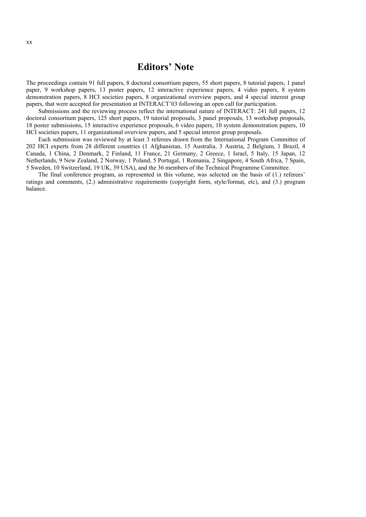## **Editors' Note**

The proceedings contain 91 full papers, 8 doctoral consortium papers, 55 short papers, 8 tutorial papers, 1 panel paper, 9 workshop papers, 13 poster papers, 12 interactive experience papers, 4 video papers, 8 system demonstration papers, 8 HCI societies papers, 8 organizational overview papers, and 4 special interest group papers, that were accepted for presentation at INTERACT'03 following an open call for participation.

Submissions and the reviewing process reflect the international nature of INTERACT: 241 full papers, 12 doctoral consortium papers, 125 short papers, 19 tutorial proposals, 3 panel proposals, 13 workshop proposals, 18 poster submissions, 15 interactive experience proposals, 6 video papers, 10 system demonstration papers, 10 HCI societies papers, 11 organizational overview papers, and 5 special interest group proposals.

Each submission was reviewed by at least 3 referees drawn from the International Program Committee of 202 HCI experts from 28 different countries (1 Afghanistan, 15 Australia, 3 Austria, 2 Belgium, 1 Brazil, 4 Canada, 1 China, 2 Denmark, 2 Finland, 11 France, 21 Germany, 2 Greece, 1 Israel, 5 Italy, 15 Japan, 12 Netherlands, 9 New Zealand, 2 Norway, 1 Poland, 5 Portugal, 1 Romania, 2 Singapore, 4 South Africa, 7 Spain, 5 Sweden, 10 Switzerland, 19 UK, 39 USA), and the 36 members of the Technical Programme Committee.

The final conference program, as represented in this volume, was selected on the basis of (1.) referees' ratings and comments, (2.) administrative requirements (copyright form, style/format, etc), and (3.) program balance.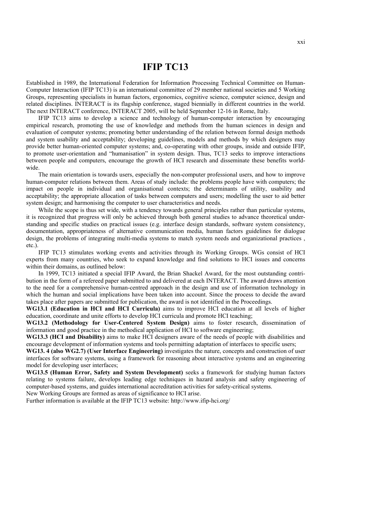## **IFIP TC13**

Established in 1989, the International Federation for Information Processing Technical Committee on Human-Computer Interaction (IFIP TC13) is an international committee of 29 member national societies and 5 Working Groups, representing specialists in human factors, ergonomics, cognitive science, computer science, design and related disciplines. INTERACT is its flagship conference, staged biennially in different countries in the world. The next INTERACT conference, INTERACT 2005, will be held September 12-16 in Rome, Italy.

IFIP TC13 aims to develop a science and technology of human-computer interaction by encouraging empirical research, promoting the use of knowledge and methods from the human sciences in design and evaluation of computer systems; promoting better understanding of the relation between formal design methods and system usability and acceptability; developing guidelines, models and methods by which designers may provide better human-oriented computer systems; and, co-operating with other groups, inside and outside IFIP, to promote user-orientation and "humanisation" in system design. Thus, TC13 seeks to improve interactions between people and computers, encourage the growth of HCI research and disseminate these benefits worldwide.

The main orientation is towards users, especially the non-computer professional users, and how to improve human-computer relations between them. Areas of study include: the problems people have with computers; the impact on people in individual and organisational contexts; the determinants of utility, usability and acceptability; the appropriate allocation of tasks between computers and users; modelling the user to aid better system design; and harmonising the computer to user characteristics and needs.

While the scope is thus set wide, with a tendency towards general principles rather than particular systems, it is recognized that progress will only be achieved through both general studies to advance theoretical understanding and specific studies on practical issues (e.g. interface design standards, software system consistency, documentation, appropriateness of alternative communication media, human factors guidelines for dialogue design, the problems of integrating multi-media systems to match system needs and organizational practices , etc.).

IFIP TC13 stimulates working events and activities through its Working Groups. WGs consist of HCI experts from many countries, who seek to expand knowledge and find solutions to HCI issues and concerns within their domains, as outlined below:

In 1999, TC13 initiated a special IFIP Award, the Brian Shackel Award, for the most outstanding contribution in the form of a refereed paper submitted to and delivered at each INTERACT. The award draws attention to the need for a comprehensive human-centred approach in the design and use of information technology in which the human and social implications have been taken into account. Since the process to decide the award takes place after papers are submitted for publication, the award is not identified in the Proceedings.

**WG13.1 (Education in HCI and HCI Curricula)** aims to improve HCI education at all levels of higher education, coordinate and unite efforts to develop HCI curricula and promote HCI teaching;

**WG13.2 (Methodology for User-Centered System Design)** aims to foster research, dissemination of information and good practice in the methodical application of HCI to software engineering;

**WG13.3 (HCI and Disability)** aims to make HCI designers aware of the needs of people with disabilities and encourage development of information systems and tools permitting adaptation of interfaces to specific users;

**WG13. 4 (also WG2.7) (User Interface Engineering)** investigates the nature, concepts and construction of user interfaces for software systems, using a framework for reasoning about interactive systems and an engineering model for developing user interfaces;

**WG13.5 (Human Error, Safety and System Development)** seeks a framework for studying human factors relating to systems failure, develops leading edge techniques in hazard analysis and safety engineering of computer-based systems, and guides international accreditation activities for safety-critical systems.

New Working Groups are formed as areas of significance to HCI arise.

Further information is available at the IFIP TC13 website: http://www.ifip-hci.org/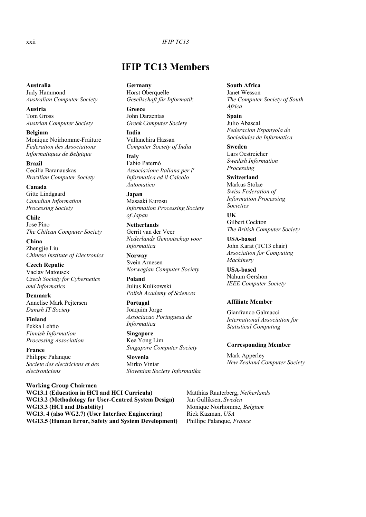## xxii *IFIP TC13*

## **IFIP TC13 Members**

*Gesellschaft für Informatik* 

*Greek Computer Society* 

*Associazione Italiana per l' Informatica ed il Calcolo* 

*Information Processing Society* 

*Nederlands Genootschap voor* 

*Norwegian Computer Society* 

*Polish Academy of Sciences* 

*Associacao Portuguesa de* 

*Singapore Computer Society* 

*Slovenian Society Informatika* 

Vallanchira Hassan *Computer Society of India* 

Fabio Paternò

*Automatico*  **Japan** 

*of Japan*  **Netherlands**  Gerrit van der Veer

*Informatica*  **Norway**  Svein Arnesen

**Poland** 

**Portugal**  Joaquim Jorge

*Informatica*  **Singapore**  Kee Yong Lim

**Slovenia**  Mirko Vintar

Julius Kulikowski

Masaaki Kurosu

**Germany**  Horst Oberquelle

**Greece**  John Darzentas

**India** 

**Italy** 

**Australia**  Judy Hammond *Australian Computer Society* 

**Austria**  Tom Gross *Austrian Computer Society* 

**Belgium**  Monique Noirhomme-Fraiture *Federation des Associations Informatiques de Belgique* 

**Brazil**  Cecilia Baranauskas *Brazilian Computer Society* 

**Canada**  Gitte Lindgaard *Canadian Information Processing Society* 

**Chile**  Jose Pino *The Chilean Computer Society* 

**China**  Zhengjie Liu *Chinese Institute of Electronics* 

**Czech Repulic**  Vaclav Matousek *Czech Society for Cybernetics and Informatics* 

**Denmark**  Annelise Mark Pejtersen *Danish IT Society* 

**Finland**  Pekka Lehtio *Finnish Information Processing Association* 

**France**  Philippe Palanque *Societe des electriciens et des electroniciens* 

**Working Group Chairmen WG13.1 (Education in HCI and HCI Curricula)** Matthias Rauterberg, *Netherlands* **WG13.2 (Methodology for User-Centred System Design)** Jan Gulliksen, *Sweden* **WG13.3 (HCI and Disability)** Monique Noirhomme, *Belgium* **WG13. 4 (also WG2.7) (User Interface Engineering)** Rick Kazman, *USA* **WG13.5 (Human Error, Safety and System Development)** Phillipe Palanque, *France*

**South Africa**  Janet Wesson *The Computer Society of South Africa* 

**Spain**  Julio Abascal *Federacion Espanyola de Sociedades de Informatica* 

**Sweden**  Lars Oestreicher *Swedish Information Processing* 

**Switzerland**  Markus Stolze *Swiss Federation of Information Processing Societies* 

 $\mathbf{I}$ **K** Gilbert Cockton *The British Computer Society* 

**USA-based**  John Karat (TC13 chair) *Association for Computing Machinery* 

**USA-based**  Nahum Gershon *IEEE Computer Society* 

## **Affiliate Member**

Gianfranco Galmacci *International Association for Statistical Computing* 

#### **Corresponding Member**

Mark Apperley *New Zealand Computer Society*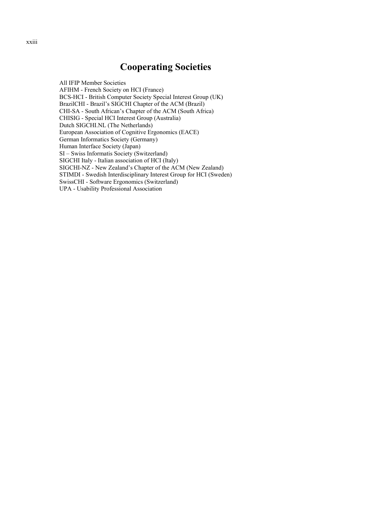## **Cooperating Societies**

All IFIP Member Societies AFIHM - French Society on HCI (France) BCS-HCI - British Computer Society Special Interest Group (UK) BrazilCHI - Brazil's SIGCHI Chapter of the ACM (Brazil) CHI-SA - South African's Chapter of the ACM (South Africa) CHISIG - Special HCI Interest Group (Australia) Dutch SIGCHI.NL (The Netherlands) European Association of Cognitive Ergonomics (EACE) German Informatics Society (Germany) Human Interface Society (Japan) SI – Swiss Informatis Society (Switzerland) SIGCHI Italy - Italian association of HCI (Italy) SIGCHI-NZ - New Zealand's Chapter of the ACM (New Zealand) STIMDI - Swedish Interdisciplinary Interest Group for HCI (Sweden) SwissCHI - Software Ergonomics (Switzerland) UPA - Usability Professional Association

xxiii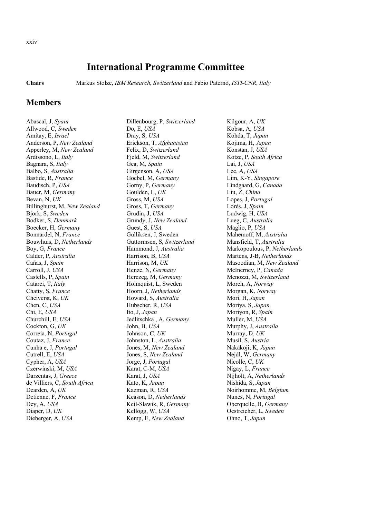## **International Programme Committee**

**Chairs** Markus Stolze, *IBM Research, Switzerland* and Fabio Paternò, *ISTI-CNR, Italy*

## **Members**

Abascal, J, *Spain* Allwood, C, *Sweden* Amitay, E, *Israel* Anderson, P, *New Zealand* Apperley, M, *New Zealand* Ardissono, L, *Italy* Bagnara, S, *Italy* Balbo, S, *Australia* Bastide, R, *France* Baudisch, P, *USA* Bauer, M, *Germany* Bevan, N, *UK* Billinghurst, M, *New Zealand* Bjork, S, *Sweden* Bodker, S, *Denmark* Boecker, H, *Germany* Bonnardel, N, *France* Bouwhuis, D, *Netherlands* Boy, G, *France* Calder, P, *Australia* Cañas, J, *Spain* Carroll, J, *USA* Castells, P, *Spain* Catarci, T, *Italy* Chatty, S, *France* Cheiverst, K, *UK* Chen, C, *USA* Chi, E, *USA* Churchill, E, *USA* Cockton, G, *UK* Correia, N, *Portugal* Coutaz, J, *France* Cunha e, J, *Portugal* Cutrell, E, *USA* Cypher, A, *USA* Czerwinski, M, *USA* Darzentas, J, *Greece* de Villiers, C, *South Africa* Dearden, A, *UK* Detienne, F, *France* Dey, A, *USA* Diaper, D, *UK* Dieberger, A, *USA*

Dillenbourg, P, *Switzerland* Do, E, *USA* Dray, S, *USA* Erickson, T, *Afghanistan* Felix, D, *Switzerland* Fjeld, M, *Switzerland* Gea, M, *Spain* Girgenson, A, *USA* Goebel, M, *Germany* Gorny, P, *Germany* Goulden, L, *UK* Gross, M, *USA* Gross, T, *Germany* Grudin, J, *USA* Grundy, J, *New Zealand* Guest, S, *USA* Gulliksen, J, Sweden Guttormsen, S, *Switzerland* Hammond, J, *Australia* Harrison, B, *USA* Harrison, M, *UK* Henze, N, *Germany* Herczeg, M, *Germany* Holmquist, L, Sweden Hoorn, J, *Netherlands* Howard, S, *Australia* Hubscher, R, *USA* Ito, J, *Japan* Jedlitschka , A, *Germany* John, B, *USA* Johnson, C, *UK* Johnston, L, *Australia* Jones, M, *New Zealand* Jones, S, *New Zealand* Jorge, J, *Portugal* Karat, C-M, *USA* Karat, J, *USA* Kato, K, *Japan* Kazman, R, *USA* Keason, D, *Netherlands* Keil-Slawik, R, *Germany* Kellogg, W, *USA* Kemp, E, *New Zealand*

Kilgour, A, *UK* Kobsa, A, *USA* Kohda, T, *Japan* Kojima, H, *Japan* Konstan, J, *USA* Kotze, P, *South Africa* Lai, J, *USA* Lee, A, *USA* Lim, K-Y, *Singapore* Lindgaard, G, *Canada* Liu, Z, *China* Lopes, J, *Portugal* Lorés, J, *Spain* Ludwig, H, *USA* Lueg, C, *Australia* Maglio, P, *USA* Mahemoff, M, *Australia* Mansfield, T, *Australia* Markopoulous, P, *Netherlands* Martens, J-B, *Netherlands* Masoodian, M, *New Zealand* McInerney, P, *Canada* Menozzi, M, *Switzerland* Morch, A, *Norway* Morgan, K, *Norway* Mori, H, *Japan* Moriya, S, *Japan* Moriyon, R, *Spain* Muller, M, *USA* Murphy, J, *Australia* Murray, D, *UK* Musil, S, *Austria* Nakakoji, K, *Japan* Nejdl, W, *Germany* Nicolle, C, *UK* Nigay, L, *France* Nijholt, A, *Netherlands* Nishida, S, *Japan* Noirhomme, M, *Belgium* Nunes, N, *Portugal* Oberquelle, H, *Germany* Oestreicher, L, *Sweden* Ohno, T, *Japan*

xxiv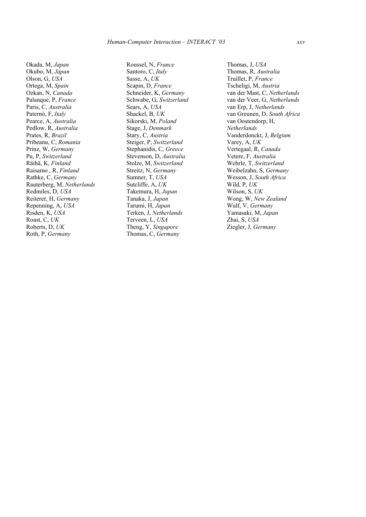Okada, M, *Japan* Okubo, M, *Japan* Olson, G, *USA* Ortega, M, *Spain* Ozkan, N, *Canada* Palanque, P, *France* Paris, C, *Australia* Paternò, F, *Italy* Pearce, A, *Australia* Pedlow, R, *Australia* Prates, R, *Brazil* Pribeanu, C, *Romania* Prinz, W, *Germany* Pu, P, *Switzerland* Räihä, K, *Finland* Raisamo , R, *Finland* Rathke, C, *Germany* Rauterberg, M, *Netherlands* Redmiles, D, *USA* Reiterer, H, *Germany* Repenning, A, *USA* Risden, K, *USA* Roast, C, *UK* Roberts, D, *UK* Roth, P, *Germany*

Roussel, N, *France* Santoro, C, *Italy* Sasse, A, *UK* Scapin, D, *France* Schneider, K, *Germany* Schwabe, G, *Switzerland* Sears, A, *USA* Shackel, B, *UK* Sikorski, M, *Poland* Stage, J, *Denmark* Stary, C, *Austria* Steiger, P, *Switzerland* Stephanidis, C, *Greece* Stevenson, D, *Australia* Stolze, M, *Switzerland* Streitz, N, *Germany* Sumner, T, *USA* Sutcliffe, A, *UK* Takemura, H, *Japan* Tanaka, J, *Japan* Tarumi, H, *Japan* Terken, J, *Netherlands* Terveen, L, *USA* Theng, Y, *Singapore* Thomas, C, *Germany*

Thomas, J, *USA* Thomas, R, *Australia* Truillet, P, *France* Tscheligi, M, *Austria* van der Mast, C, *Netherlands* van der Veer, G, *Netherlands* van Erp, J, *Netherlands* van Greunen, D, *South Africa* van Oostendorp, H, *Netherlands* Vanderdonckt, J, *Belgium* Varey, A, *UK* Vertegaal, R, *Canada* Vetere, F, *Australia* Wehrle, T, *Switzerland* Weibelzahn, S, *Germany* Wesson, J, *South Africa* Wild, P, *UK* Wilson, S, *UK* Wong, W, *New Zealand* Wulf, V, *Germany* Yamasaki, M, *Japan* Zhai, S, *USA* Ziegler, J, *Germany*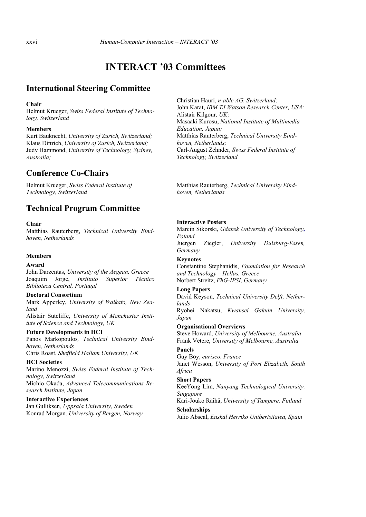## **INTERACT '03 Committees**

## **International Steering Committee**

### **Chair**

Helmut Krueger, *Swiss Federal Institute of Technology, Switzerland*

#### **Members**

Kurt Bauknecht, *University of Zurich, Switzerland;* Klaus Dittrich, *University of Zurich, Switzerland;*  Judy Hammond, *University of Technology, Sydney, Australia;*

## **Conference Co-Chairs**

Helmut Krueger, *Swiss Federal Institute of Technology, Switzerland*

## **Technical Program Committee**

**Chair** 

Matthias Rauterberg, *Technical University Eindhoven, Netherlands* 

## **Members**

#### **Award**

John Darzentas, *University of the Aegean, Greece* Joaquim Jorge, *Instituto Superior Técnico Biblioteca Central, Portugal*

### **Doctoral Consortium**

Mark Apperley, *University of Waikato, New Zealand*

Alistair Sutcliffe, *University of Manchester Institute of Science and Technology, UK*

## **Future Developments in HCI**

Panos Markopoulos*, Technical University Eindhoven, Netherlands* Chris Roast, *Sheffield Hallam University, UK*

#### **HCI Societies**

Marino Menozzi, *Swiss Federal Institute of Technology, Switzerland* Michio Okada, *Advanced Telecommunications Research Institute, Japan*

### **Interactive Experiences**

Jan Gulliksen*, Uppsala University, Sweden* Konrad Morgan*, University of Bergen, Norway*

Christian Hauri, *n-able AG, Switzerland;* John Karat, *IBM TJ Watson Research Center, USA;* Alistair Kilgour*, UK;* Masaaki Kurosu, *National Institute of Multimedia Education, Japan;* Matthias Rauterberg, *Technical University Eindhoven, Netherlands;* Carl-August Zehnder, *Swiss Federal Institute of Technology, Switzerland*

Matthias Rauterberg, *Technical University Eindhoven, Netherlands*

#### **Interactive Posters**

Marcin Sikorski, *Gdansk University of Technology, Poland* Juergen Ziegler, *University Duisburg-Essen,* 

*Germany*

### **Keynotes**

Constantine Stephanidis, *Foundation for Research and Technology – Hellas, Greece* Norbert Streitz, *FhG-IPSI, Germany*

#### **Long Papers**

David Keyson, *Technical University Delft, Netherlands*

Ryohei Nakatsu, *Kwansei Gakuin University, Japan*

#### **Organisational Overviews**

Steve Howard, *University of Melbourne, Australia* Frank Vetere, *University of Melbourne, Australia*

## **Panels**

Guy Boy, *eurisco, France* Janet Wesson, *University of Port Elizabeth, South Africa*

#### **Short Papers**

KeeYong Lim, *Nanyang Technological University, Singapore*

Kari-Jouko Räihä, *University of Tampere, Finland*

#### **Scholarships**

Julio Abscal, *Euskal Herriko Unibertsitatea, Spain*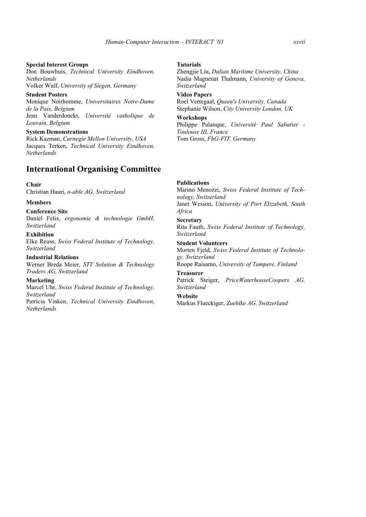#### **Special Interest Groups**

Don Bouwhuis, *Technical University Eindhoven, Netherlands* Volker Wulf, *University of Siegen, Germany*

## **Student Posters**

Monique Noirhomme, *Universitaires Notre-Dame de la Paix, Belgium* Jean Vanderdonckt, *Université catholique de Louvain, Belgium*

## **System Demonstrations**

Rick Kazman, *Carnegie Mellon University, USA* Jacques Terken, *Technical University Eindhoven, Netherlands*

## **International Organising Committee**

### **Chair**

Christian Hauri, *n-able AG, Switzerland*

#### **Members**

**Conference Site** 

Daniel Felix, *ergonomie & technologie GmbH, Switzerland*

#### **Exhibition**

Elke Reuss, *Swiss Federal Institute of Technology, Switzerland*

**Industrial Relations**  Werner Breda Meier, *STT Solution & Technology Traders AG, Switzerland*

#### **Marketing**

Marcel Uhr, *Swiss Federal Institute of Technology, Switzerland*

Patricia Vinken, *Technical University Eindhoven, Netherlands*

#### **Tutorials**

Zhengjie Liu, *Dalian Maritime University, China* Nadia Magnenat Thalmann, *University of Geneva, Switzerland*

#### **Video Papers**

Roel Vertegaal, *Queen's University, Canada* Stephanie Wilson, *City University London, UK*

**Workshops**  Philippe Palanque, *Université Paul Sabatier - Toulouse III, France* Tom Gross, *FhG-FIT, Germany*

#### **Publications**

Marino Menozzi, *Swiss Federal Institute of Technology, Switzerland* Janet Wesson, *University of Port Elizabeth, South Africa*

#### **Secretary**

Rita Fauth, *Swiss Federal Institute of Technology, Switzerland*

### **Student Volunteers**

Morten Fjeld, *Swiss Federal Institute of Technology, Switzerland*

Roope Raisamo, *University of Tampere, Finland*

## **Treasurer**

Patrick Steiger, *PriceWaterhouseCoopers AG, Switzerland*

#### **Website**

Markus Flueckiger, *Zuehlke AG, Switzerland*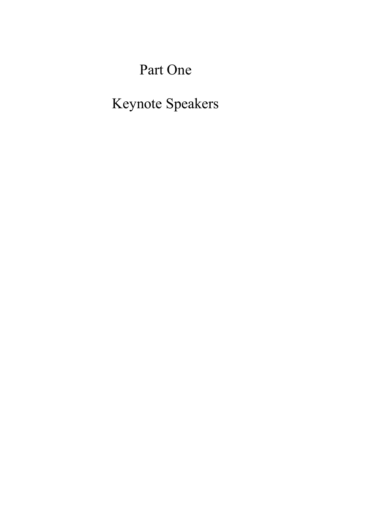## Part One

# Keynote Speakers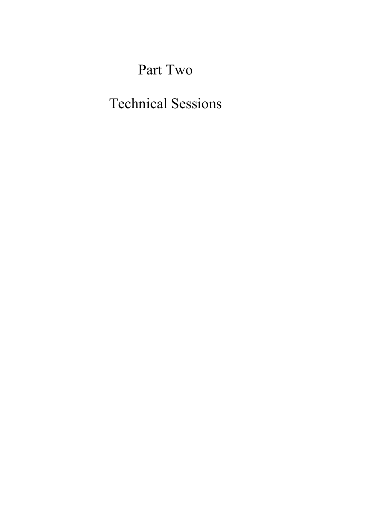## Part Two

# Technical Sessions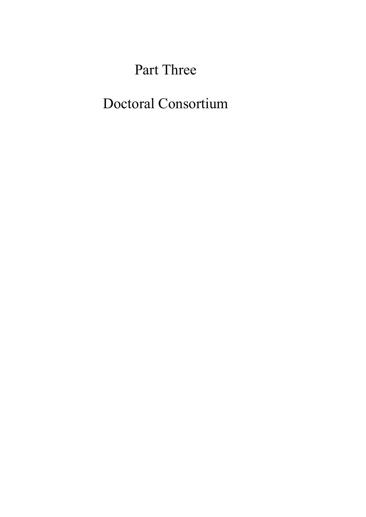Part Three

Doctoral Consortium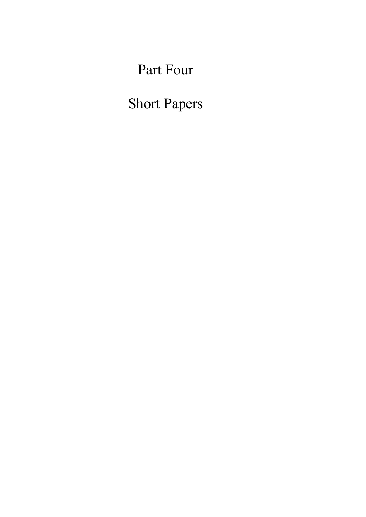Part Four

Short Papers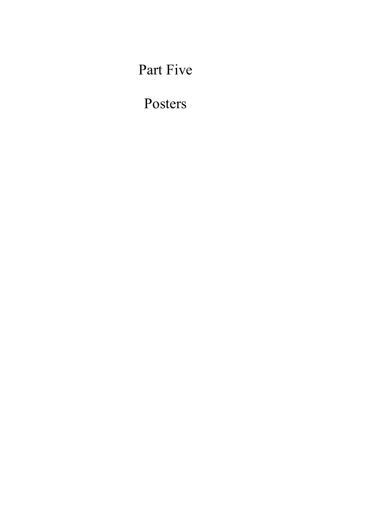Part Five

Posters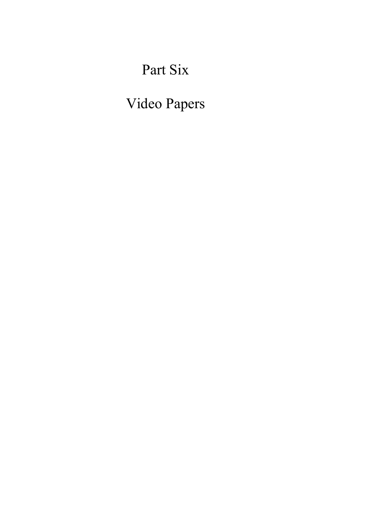Part Six

Video Papers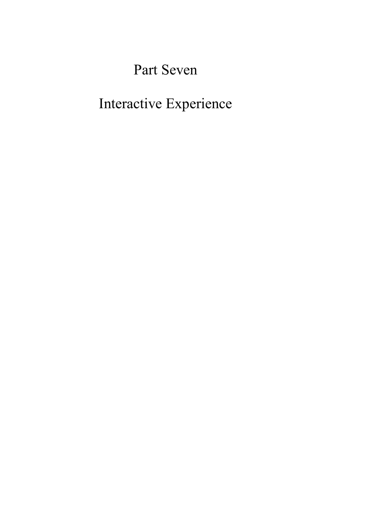Part Seven

Interactive Experience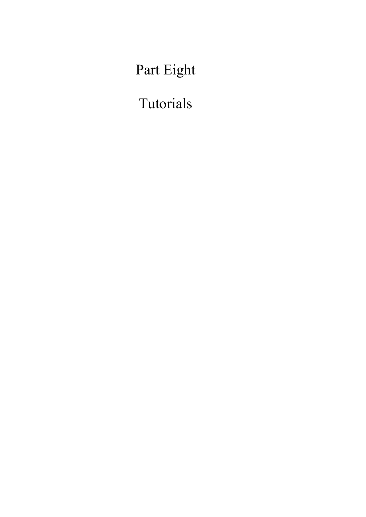Part Eight

Tutorials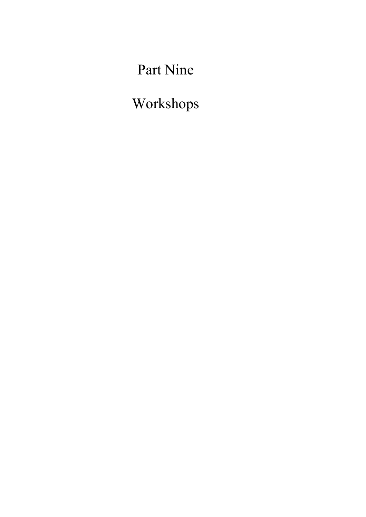Part Nine

Workshops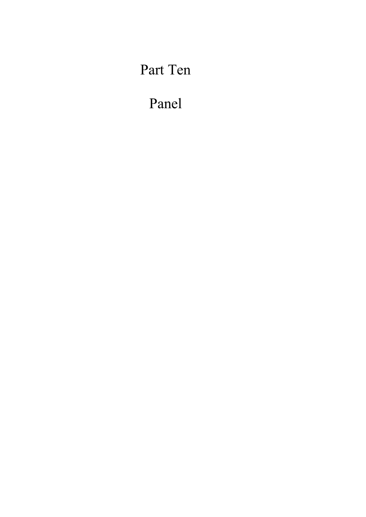Part Ten

Panel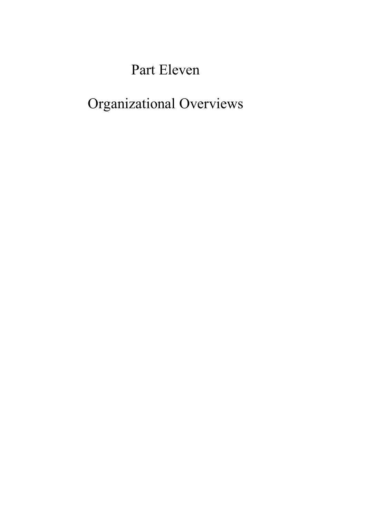## Part Eleven

# Organizational Overviews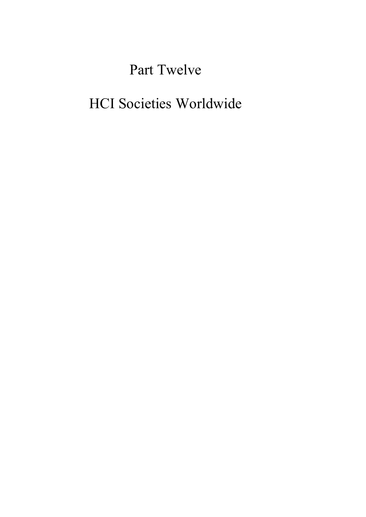Part Twelve

HCI Societies Worldwide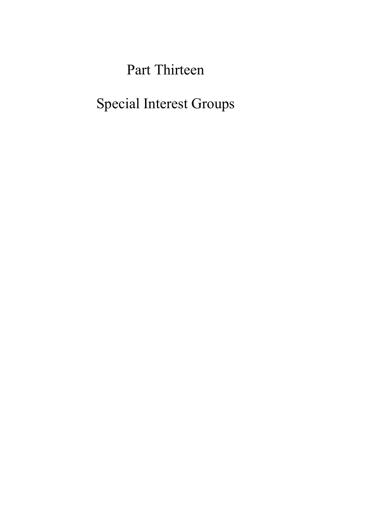Part Thirteen

Special Interest Groups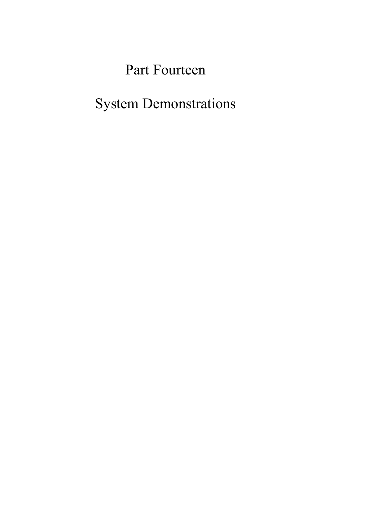## Part Fourteen

# System Demonstrations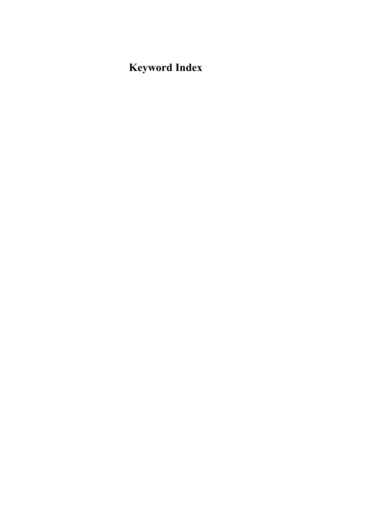## **Keyword Index**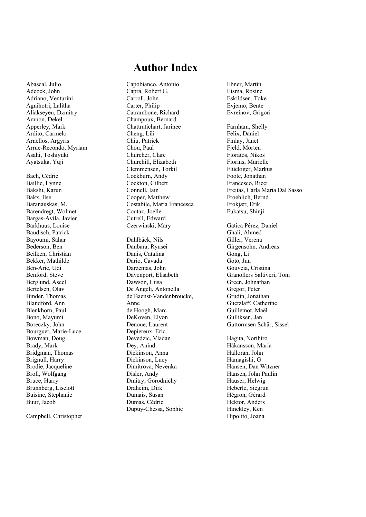## **Author Index**

Abascal, Julio Adcock, John Adriano, Venturini Agnihotri, Lalitha Aliakseyeu, Dzmitry Amnon, Dekel Apperley, Mark Ardito, Carmelo Arnellos, Argyris Arrue-Recondo, Myriam Asahi, Toshiyuki Ayatsuka, Yuji

Bach, Cédric Baillie, Lynne Bakshi, Karun Bakx, Ilse Baranauskas, M. Barendregt, Wolmet Bargas-Avila, Javier Barkhuus, Louise Baudisch, Patrick Bayoumi, Sahar Bederson, Ben Beilken, Christian Bekker, Mathilde Ben-Arie, Udi Benford, Steve Berglund, Aseel Bertelsen, Olav Binder, Thomas Blandford, Ann Blenkhorn, Paul Bono, Mayumi Boreczky, John Bourguet, Marie-Luce Bowman, Doug Brady, Mark Bridgman, Thomas Brignull, Harry Brodie, Jacqueline Broll, Wolfgang Bruce, Harry Brunnberg, Liselott Buisine, Stephanie Buur, Jacob

Campbell, Christopher

Capobianco, Antonio Capra, Robert G. Carroll, John Carter, Philip Catrambone, Richard Champoux, Bernard Chattratichart, Jarinee Cheng, Lili Chiu, Patrick Chou, Paul Churcher, Clare Churchill, Elizabeth Clemmensen, Torkil Cockburn, Andy Cockton, Gilbert Connell, Iain Cooper, Matthew Costabile, Maria Francesca Coutaz, Joelle Cutrell, Edward Czerwinski, Mary

Dahlbäck, Nils Danbara, Ryusei Danis, Catalina Dario, Cavada Darzentas, John Davenport, Elisabeth Dawson, Liisa De Angeli, Antonella de Baenst-Vandenbroucke, Anne de Hoogh, Marc DeKoven, Elyon Denoue, Laurent Depiereux, Eric Devedzic, Vladan Dey, Anind Dickinson, Anna Dickinson, Lucy Dimitrova, Nevenka Disler, Andy Dmitry, Gorodnichy Draheim, Dirk Dumais, Susan Dumas, Cédric Dupuy-Chessa, Sophie

Eisma, Rosine Eskildsen, Toke Evjemo, Bente Evreinov, Grigori Farnham, Shelly Felix, Daniel Finlay, Janet Fjeld, Morten Floratos, Nikos Florins, Murielle Flückiger, Markus Foote, Jonathan Francesco, Ricci Freitas, Carla Maria Dal Sasso Froehlich, Bernd Frøkjær, Erik

Ebner, Martin

Gatica Pérez, Daniel Ghali, Ahmed Giller, Verena Girgensohn, Andreas Gong, Li Goto, Jun Gouveia, Cristina Granollers Saltiveri, Toni Green, Johnathan Gregor, Peter Grudin, Jonathan Guetzlaff, Catherine Guillemot, Maël Gulliksen, Jan Guttormsen Schär, Sissel

Fukatsu, Shinji

Hagita, Norihiro Håkansson, Maria Halloran, John Hamagishi, G Hansen, Dan Witzner Hansen, John Paulin Hauser, Helwig Heberle, Siegrun Hégron, Gérard Hektor, Anders Hinckley, Ken Hipolito, Joana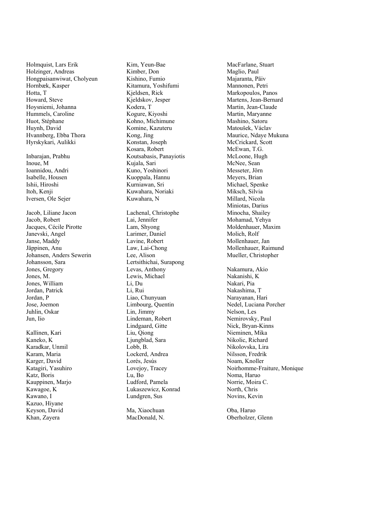Holmquist, Lars Erik Holzinger, Andreas Hongpaisanwiwat, Cholyeun Hornbæk, Kasper Hotta, T Howard, Steve Hoysniemi, Johanna Hummels, Caroline Huot, Stéphane Huynh, David Hvannberg, Ebba Thora Hyrskykari, Aulikki

Inbarajan, Prabhu Inoue, M Ioannidou, Andri Isabelle, Housen Ishii, Hiroshi Itoh, Kenji Iversen, Ole Sejer

Jacob, Liliane Jacon Jacob, Robert Jacques, Cécile Pirotte Janevski, Angel Janse, Maddy Jäppinen, Anu Johansen, Anders Sewerin Johansson, Sara Jones, Gregory Jones, M. Jones, William Jordan, Patrick Jordan, P Jose, Joemon Juhlin, Oskar Jun, Iio

Kallinen, Kari Kaneko, K Karadkar, Unmil Karam, Maria Karger, David Katagiri, Yasuhiro Katz, Boris Kauppinen, Marjo Kawagoe, K Kawano, I Kazuo, Hiyane Keyson, David Khan, Zayera

Kim, Yeun-Bae Kimber, Don Kishino, Fumio Kitamura, Yoshifumi Kjeldsen, Rick Kjeldskov, Jesper Kodera, T Kogure, Kiyoshi Kohno, Michimune Komine, Kazuteru Kong, Jing Konstan, Joseph Kosara, Robert Koutsabasis, Panayiotis Kujala, Sari Kuno, Yoshinori Kuoppala, Hannu Kurniawan, Sri Kuwahara, Noriaki Kuwahara, N Lachenal, Christophe Lai, Jennifer Lam, Shyong Larimer, Daniel Lavine, Robert Law, Lai-Chong Lee, Alison Lertsithichai, Surapong Levas, Anthony Lewis, Michael Li, Du Li, Rui Liao, Chunyuan Limbourg, Quentin Lin, Jimmy Lindeman, Robert Lindgaard, Gitte

Ma, Xiaochuan MacDonald, N.

Ludford, Pamela Lukaszewicz, Konrad Lundgren, Sus

Liu, Qiong Ljungblad, Sara Lobb, B. Lockerd, Andrea Lorés, Jesús Lovejoy, Tracey

Lu, Bo

MacFarlane, Stuart Maglio, Paul Majaranta, Päiv Mannonen, Petri Markopoulos, Panos Martens, Jean-Bernard Martin, Jean-Claude Martin, Maryanne Mashino, Satoru Matoušek, Václav Maurice, Ndaye Mukuna McCrickard, Scott McEwan, T.G. McLoone, Hugh McNee, Sean Messeter, Jörn Meyers, Brian Michael, Spenke Miksch, Silvia Millard, Nicola Miniotas, Darius Minocha, Shailey Mohamad, Yehya Moldenhauer, Maxim Molich, Rolf Mollenhauer, Jan Mollenhauer, Raimund [Mueller, Christopher](mailto:mueller@et-usability.ch) Nakamura, Akio Nakanishi, K Nakari, Pia Nakashima, T Narayanan, Hari Nedel, Luciana Porcher Nelson, Les Nemirovsky, Paul

Oba, Haruo Oberholzer, Glenn

Noma, Haruo Norrie, Moira C. North, Chris Novins, Kevin

Nick, Bryan-Kinns Nieminen, Mika Nikolic, Richard Nikolovska, Lira Nilsson, Fredrik Noam, Knoller

Noirhomme-Fraiture, Monique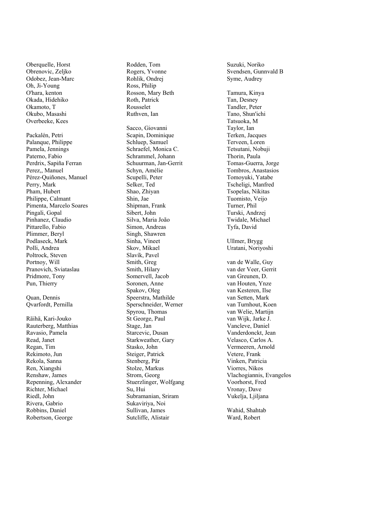Oberquelle, Horst Obrenovic, Zeljko Odobez, Jean-Marc Oh, Ji-Young O'hara, kenton Okada, Hidehiko Okamoto, T Okubo, Masashi Overbeeke, Kees

Packalén, Petri Palanque, Philippe Pamela, Jennings Paterno, Fabio Perdrix, Sapiña Ferran Perez,, Manuel Pérez-Quiñones, Manuel Perry, Mark Pham, Hubert Philippe, Calmant Pimenta, Marcelo Soares Pingali, Gopal Pinhanez, Claudio Pittarello, Fabio Plimmer, Beryl Podlaseck, Mark Polli, Andrea Poltrock, Steven Portnoy, Will Pranovich, Sviataslau Pridmore, Tony Pun, Thierry

Quan, Dennis Qvarfordt, Pernilla

Räihä, Kari-Jouko Rauterberg, Matthias Ravasio, Pamela Read, Janet Regan, Tim Rekimoto, Jun Rekola, Sanna Ren, Xiangshi Renshaw, James Repenning, Alexander Richter, Michael Riedl, John Rivera, Gabrio Robbins, Daniel Robertson, George

Rodden, Tom Rogers, Yvonne Rohlik, Ondrej Ross, Philip Rosson, Mary Beth Roth, Patrick Rousselet Ruthven, Ian

Sacco, Giovanni Scapin, Dominique Schluep, Samuel Schraefel, Monica C. Schrammel, Johann Schuurman, Jan-Gerrit Schyn, Amélie Scupelli, Peter Selker, Ted Shao, Zhiyan Shin, Jae Shipman, Frank Sibert, John Silva, Maria João Simon, Andreas Singh, Shawren Sinha, Vineet Skov, Mikael Slavík, Pavel Smith, Greg Smith, Hilary Somervell, Jacob Soronen, Anne Spakov, Oleg Speerstra, Mathilde Sperschneider, Werner Spyrou, Thomas St George, Paul Stage, Jan Starcevic, Dusan Starkweather, Gary Stasko, John Steiger, Patrick Stenberg, Pär Stolze, Markus Strom, Georg Stuerzlinger, Wolfgang Su, Hui Subramanian, Sriram Sukaviriya, Noi Sullivan, James Sutcliffe, Alistair

Suzuki, Noriko Svendsen, Gunnvald B Syme, Audrey

Tamura, Kinya Tan, Desney Tandler, Peter Tano, Shun'ichi Tatsuoka, M Taylor, Ian Terken, Jacques Terveen, Loren Tetsutani, Nobuji Thorin, Paula Tomas-Guerra, Jorge Tombros, Anastasios Tomoyuki, Yatabe Tscheligi, Manfred Tsopelas, Nikitas Tuomisto, Veijo Turner, Phil Turski, Andrzej Twidale, Michael Tyfa, David Ullmer, Brygg Uratani, Noriyoshi van de Walle, Guy van der Veer, Gerrit van Greunen, D.

van Houten, Ynze van Kesteren, Ilse van Setten, Mark van Turnhout, Koen van Welie, Martijn van Wijk, Jarke J. Vancleve, Daniel Vanderdonckt, Jean Velasco, Carlos A. Vermeeren, Arnold Vetere, Frank Vinken, Patricia Viorres, Nikos Vlachogiannis, Evangelos Voorhorst, Fred Vronay, Dave Vukelja, Ljiljana

Wahid, Shahtab Ward, Robert